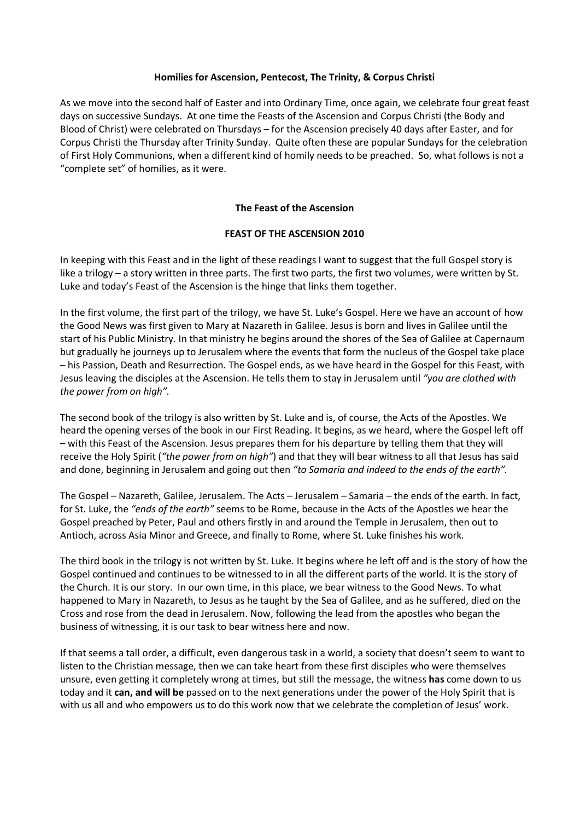# **Homilies for Ascension, Pentecost, The Trinity, & Corpus Christi**

As we move into the second half of Easter and into Ordinary Time, once again, we celebrate four great feast days on successive Sundays. At one time the Feasts of the Ascension and Corpus Christi (the Body and Blood of Christ) were celebrated on Thursdays – for the Ascension precisely 40 days after Easter, and for Corpus Christi the Thursday after Trinity Sunday. Quite often these are popular Sundays for the celebration of First Holy Communions, when a different kind of homily needs to be preached. So, what follows is not a "complete set" of homilies, as it were.

# **The Feast of the Ascension**

# **FEAST OF THE ASCENSION 2010**

In keeping with this Feast and in the light of these readings I want to suggest that the full Gospel story is like a trilogy – a story written in three parts. The first two parts, the first two volumes, were written by St. Luke and today's Feast of the Ascension is the hinge that links them together.

In the first volume, the first part of the trilogy, we have St. Luke's Gospel. Here we have an account of how the Good News was first given to Mary at Nazareth in Galilee. Jesus is born and lives in Galilee until the start of his Public Ministry. In that ministry he begins around the shores of the Sea of Galilee at Capernaum but gradually he journeys up to Jerusalem where the events that form the nucleus of the Gospel take place – his Passion, Death and Resurrection. The Gospel ends, as we have heard in the Gospel for this Feast, with Jesus leaving the disciples at the Ascension. He tells them to stay in Jerusalem until *"you are clothed with the power from on high".*

The second book of the trilogy is also written by St. Luke and is, of course, the Acts of the Apostles. We heard the opening verses of the book in our First Reading. It begins, as we heard, where the Gospel left off – with this Feast of the Ascension. Jesus prepares them for his departure by telling them that they will receive the Holy Spirit (*"the power from on high"*) and that they will bear witness to all that Jesus has said and done, beginning in Jerusalem and going out then *"to Samaria and indeed to the ends of the earth".*

The Gospel – Nazareth, Galilee, Jerusalem. The Acts – Jerusalem – Samaria – the ends of the earth. In fact, for St. Luke, the *"ends of the earth"* seems to be Rome, because in the Acts of the Apostles we hear the Gospel preached by Peter, Paul and others firstly in and around the Temple in Jerusalem, then out to Antioch, across Asia Minor and Greece, and finally to Rome, where St. Luke finishes his work.

The third book in the trilogy is not written by St. Luke. It begins where he left off and is the story of how the Gospel continued and continues to be witnessed to in all the different parts of the world. It is the story of the Church. It is our story. In our own time, in this place, we bear witness to the Good News. To what happened to Mary in Nazareth, to Jesus as he taught by the Sea of Galilee, and as he suffered, died on the Cross and rose from the dead in Jerusalem. Now, following the lead from the apostles who began the business of witnessing, it is our task to bear witness here and now.

If that seems a tall order, a difficult, even dangerous task in a world, a society that doesn't seem to want to listen to the Christian message, then we can take heart from these first disciples who were themselves unsure, even getting it completely wrong at times, but still the message, the witness **has** come down to us today and it **can, and will be** passed on to the next generations under the power of the Holy Spirit that is with us all and who empowers us to do this work now that we celebrate the completion of Jesus' work.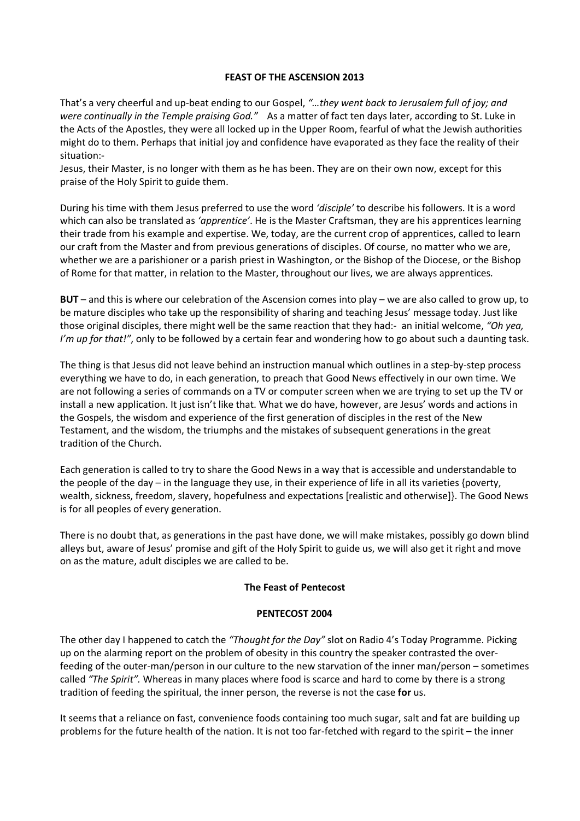#### **FEAST OF THE ASCENSION 2013**

That's a very cheerful and up-beat ending to our Gospel, *"…they went back to Jerusalem full of joy; and were continually in the Temple praising God."* As a matter of fact ten days later, according to St. Luke in the Acts of the Apostles, they were all locked up in the Upper Room, fearful of what the Jewish authorities might do to them. Perhaps that initial joy and confidence have evaporated as they face the reality of their situation:-

Jesus, their Master, is no longer with them as he has been. They are on their own now, except for this praise of the Holy Spirit to guide them.

During his time with them Jesus preferred to use the word *'disciple'* to describe his followers. It is a word which can also be translated as *'apprentice'*. He is the Master Craftsman, they are his apprentices learning their trade from his example and expertise. We, today, are the current crop of apprentices, called to learn our craft from the Master and from previous generations of disciples. Of course, no matter who we are, whether we are a parishioner or a parish priest in Washington, or the Bishop of the Diocese, or the Bishop of Rome for that matter, in relation to the Master, throughout our lives, we are always apprentices.

**BUT** – and this is where our celebration of the Ascension comes into play – we are also called to grow up, to be mature disciples who take up the responsibility of sharing and teaching Jesus' message today. Just like those original disciples, there might well be the same reaction that they had:- an initial welcome, *"Oh yea, I'm up for that!"*, only to be followed by a certain fear and wondering how to go about such a daunting task.

The thing is that Jesus did not leave behind an instruction manual which outlines in a step-by-step process everything we have to do, in each generation, to preach that Good News effectively in our own time. We are not following a series of commands on a TV or computer screen when we are trying to set up the TV or install a new application. It just isn't like that. What we do have, however, are Jesus' words and actions in the Gospels, the wisdom and experience of the first generation of disciples in the rest of the New Testament, and the wisdom, the triumphs and the mistakes of subsequent generations in the great tradition of the Church.

Each generation is called to try to share the Good News in a way that is accessible and understandable to the people of the day – in the language they use, in their experience of life in all its varieties {poverty, wealth, sickness, freedom, slavery, hopefulness and expectations [realistic and otherwise]}. The Good News is for all peoples of every generation.

There is no doubt that, as generations in the past have done, we will make mistakes, possibly go down blind alleys but, aware of Jesus' promise and gift of the Holy Spirit to guide us, we will also get it right and move on as the mature, adult disciples we are called to be.

# **The Feast of Pentecost**

#### **PENTECOST 2004**

The other day I happened to catch the *"Thought for the Day"* slot on Radio 4's Today Programme. Picking up on the alarming report on the problem of obesity in this country the speaker contrasted the overfeeding of the outer-man/person in our culture to the new starvation of the inner man/person – sometimes called *"The Spirit".* Whereas in many places where food is scarce and hard to come by there is a strong tradition of feeding the spiritual, the inner person, the reverse is not the case **for** us.

It seems that a reliance on fast, convenience foods containing too much sugar, salt and fat are building up problems for the future health of the nation. It is not too far-fetched with regard to the spirit – the inner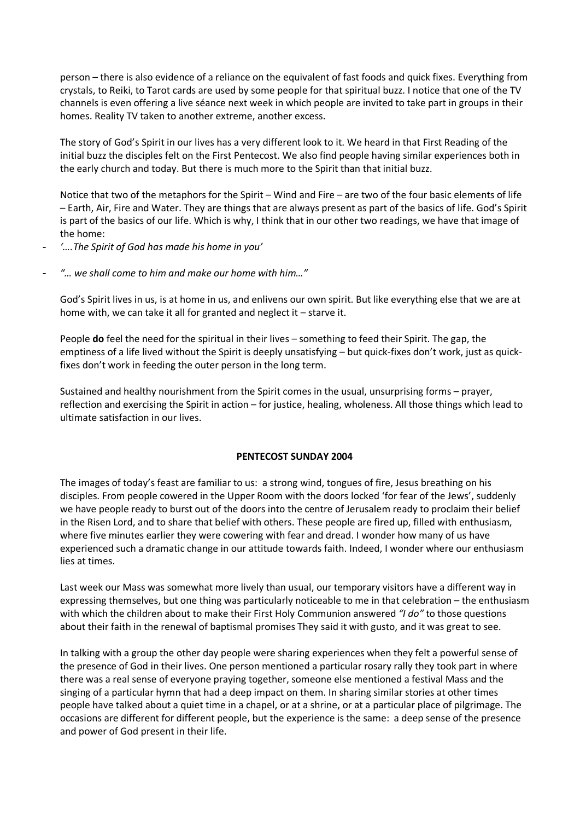person – there is also evidence of a reliance on the equivalent of fast foods and quick fixes. Everything from crystals, to Reiki, to Tarot cards are used by some people for that spiritual buzz. I notice that one of the TV channels is even offering a live séance next week in which people are invited to take part in groups in their homes. Reality TV taken to another extreme, another excess.

The story of God's Spirit in our lives has a very different look to it. We heard in that First Reading of the initial buzz the disciples felt on the First Pentecost. We also find people having similar experiences both in the early church and today. But there is much more to the Spirit than that initial buzz.

Notice that two of the metaphors for the Spirit – Wind and Fire – are two of the four basic elements of life – Earth, Air, Fire and Water. They are things that are always present as part of the basics of life. God's Spirit is part of the basics of our life. Which is why, I think that in our other two readings, we have that image of the home:

- *'….The Spirit of God has made his home in you'*
- *"… we shall come to him and make our home with him…"*

God's Spirit lives in us, is at home in us, and enlivens our own spirit. But like everything else that we are at home with, we can take it all for granted and neglect it – starve it.

People **do** feel the need for the spiritual in their lives – something to feed their Spirit. The gap, the emptiness of a life lived without the Spirit is deeply unsatisfying – but quick-fixes don't work, just as quickfixes don't work in feeding the outer person in the long term.

Sustained and healthy nourishment from the Spirit comes in the usual, unsurprising forms – prayer, reflection and exercising the Spirit in action – for justice, healing, wholeness. All those things which lead to ultimate satisfaction in our lives.

# **PENTECOST SUNDAY 2004**

The images of today's feast are familiar to us: a strong wind, tongues of fire, Jesus breathing on his disciples. From people cowered in the Upper Room with the doors locked 'for fear of the Jews', suddenly we have people ready to burst out of the doors into the centre of Jerusalem ready to proclaim their belief in the Risen Lord, and to share that belief with others. These people are fired up, filled with enthusiasm, where five minutes earlier they were cowering with fear and dread. I wonder how many of us have experienced such a dramatic change in our attitude towards faith. Indeed, I wonder where our enthusiasm lies at times.

Last week our Mass was somewhat more lively than usual, our temporary visitors have a different way in expressing themselves, but one thing was particularly noticeable to me in that celebration – the enthusiasm with which the children about to make their First Holy Communion answered *"I do"* to those questions about their faith in the renewal of baptismal promises They said it with gusto, and it was great to see.

In talking with a group the other day people were sharing experiences when they felt a powerful sense of the presence of God in their lives. One person mentioned a particular rosary rally they took part in where there was a real sense of everyone praying together, someone else mentioned a festival Mass and the singing of a particular hymn that had a deep impact on them. In sharing similar stories at other times people have talked about a quiet time in a chapel, or at a shrine, or at a particular place of pilgrimage. The occasions are different for different people, but the experience is the same: a deep sense of the presence and power of God present in their life.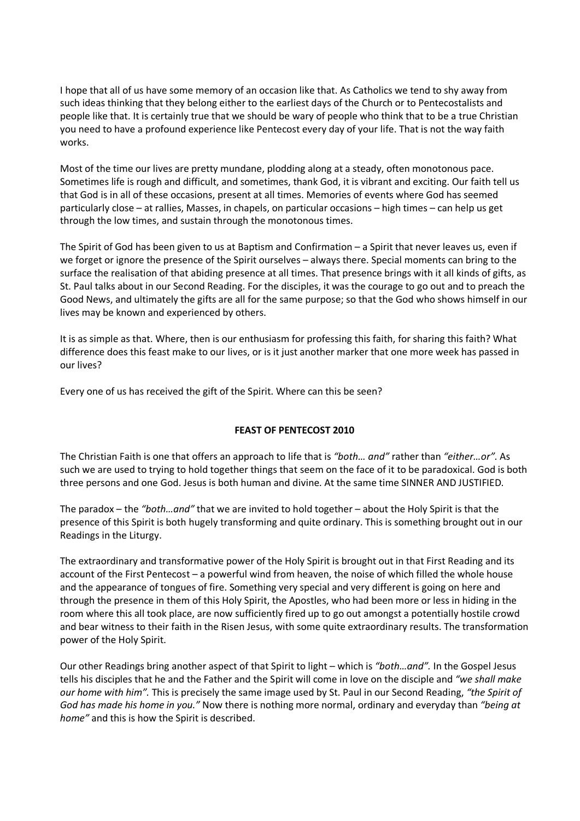I hope that all of us have some memory of an occasion like that. As Catholics we tend to shy away from such ideas thinking that they belong either to the earliest days of the Church or to Pentecostalists and people like that. It is certainly true that we should be wary of people who think that to be a true Christian you need to have a profound experience like Pentecost every day of your life. That is not the way faith works.

Most of the time our lives are pretty mundane, plodding along at a steady, often monotonous pace. Sometimes life is rough and difficult, and sometimes, thank God, it is vibrant and exciting. Our faith tell us that God is in all of these occasions, present at all times. Memories of events where God has seemed particularly close – at rallies, Masses, in chapels, on particular occasions – high times – can help us get through the low times, and sustain through the monotonous times.

The Spirit of God has been given to us at Baptism and Confirmation – a Spirit that never leaves us, even if we forget or ignore the presence of the Spirit ourselves – always there. Special moments can bring to the surface the realisation of that abiding presence at all times. That presence brings with it all kinds of gifts, as St. Paul talks about in our Second Reading. For the disciples, it was the courage to go out and to preach the Good News, and ultimately the gifts are all for the same purpose; so that the God who shows himself in our lives may be known and experienced by others.

It is as simple as that. Where, then is our enthusiasm for professing this faith, for sharing this faith? What difference does this feast make to our lives, or is it just another marker that one more week has passed in our lives?

Every one of us has received the gift of the Spirit. Where can this be seen?

# **FEAST OF PENTECOST 2010**

The Christian Faith is one that offers an approach to life that is *"both… and"* rather than *"either…or"*. As such we are used to trying to hold together things that seem on the face of it to be paradoxical. God is both three persons and one God. Jesus is both human and divine. At the same time SINNER AND JUSTIFIED.

The paradox – the *"both…and"* that we are invited to hold together – about the Holy Spirit is that the presence of this Spirit is both hugely transforming and quite ordinary. This is something brought out in our Readings in the Liturgy.

The extraordinary and transformative power of the Holy Spirit is brought out in that First Reading and its account of the First Pentecost – a powerful wind from heaven, the noise of which filled the whole house and the appearance of tongues of fire. Something very special and very different is going on here and through the presence in them of this Holy Spirit, the Apostles, who had been more or less in hiding in the room where this all took place, are now sufficiently fired up to go out amongst a potentially hostile crowd and bear witness to their faith in the Risen Jesus, with some quite extraordinary results. The transformation power of the Holy Spirit.

Our other Readings bring another aspect of that Spirit to light – which is *"both…and".* In the Gospel Jesus tells his disciples that he and the Father and the Spirit will come in love on the disciple and *"we shall make our home with him".* This is precisely the same image used by St. Paul in our Second Reading, *"the Spirit of God has made his home in you."* Now there is nothing more normal, ordinary and everyday than *"being at home"* and this is how the Spirit is described.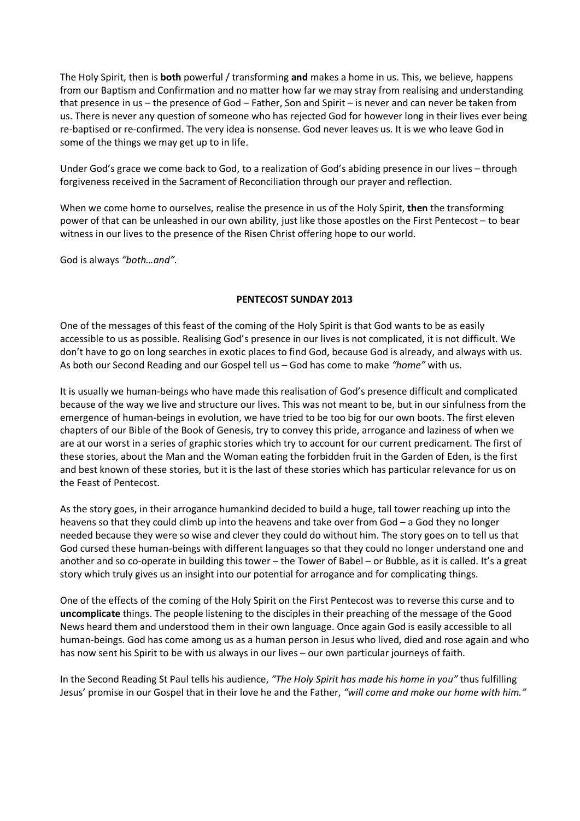The Holy Spirit, then is **both** powerful / transforming **and** makes a home in us. This, we believe, happens from our Baptism and Confirmation and no matter how far we may stray from realising and understanding that presence in us – the presence of God – Father, Son and Spirit – is never and can never be taken from us. There is never any question of someone who has rejected God for however long in their lives ever being re-baptised or re-confirmed. The very idea is nonsense. God never leaves us. It is we who leave God in some of the things we may get up to in life.

Under God's grace we come back to God, to a realization of God's abiding presence in our lives – through forgiveness received in the Sacrament of Reconciliation through our prayer and reflection.

When we come home to ourselves, realise the presence in us of the Holy Spirit, **then** the transforming power of that can be unleashed in our own ability, just like those apostles on the First Pentecost – to bear witness in our lives to the presence of the Risen Christ offering hope to our world.

God is always *"both…and".*

# **PENTECOST SUNDAY 2013**

One of the messages of this feast of the coming of the Holy Spirit is that God wants to be as easily accessible to us as possible. Realising God's presence in our lives is not complicated, it is not difficult. We don't have to go on long searches in exotic places to find God, because God is already, and always with us. As both our Second Reading and our Gospel tell us – God has come to make *"home"* with us.

It is usually we human-beings who have made this realisation of God's presence difficult and complicated because of the way we live and structure our lives. This was not meant to be, but in our sinfulness from the emergence of human-beings in evolution, we have tried to be too big for our own boots. The first eleven chapters of our Bible of the Book of Genesis, try to convey this pride, arrogance and laziness of when we are at our worst in a series of graphic stories which try to account for our current predicament. The first of these stories, about the Man and the Woman eating the forbidden fruit in the Garden of Eden, is the first and best known of these stories, but it is the last of these stories which has particular relevance for us on the Feast of Pentecost.

As the story goes, in their arrogance humankind decided to build a huge, tall tower reaching up into the heavens so that they could climb up into the heavens and take over from God – a God they no longer needed because they were so wise and clever they could do without him. The story goes on to tell us that God cursed these human-beings with different languages so that they could no longer understand one and another and so co-operate in building this tower – the Tower of Babel – or Bubble, as it is called. It's a great story which truly gives us an insight into our potential for arrogance and for complicating things.

One of the effects of the coming of the Holy Spirit on the First Pentecost was to reverse this curse and to **uncomplicate** things. The people listening to the disciples in their preaching of the message of the Good News heard them and understood them in their own language. Once again God is easily accessible to all human-beings. God has come among us as a human person in Jesus who lived, died and rose again and who has now sent his Spirit to be with us always in our lives – our own particular journeys of faith.

In the Second Reading St Paul tells his audience, *"The Holy Spirit has made his home in you"* thus fulfilling Jesus' promise in our Gospel that in their love he and the Father, *"will come and make our home with him."*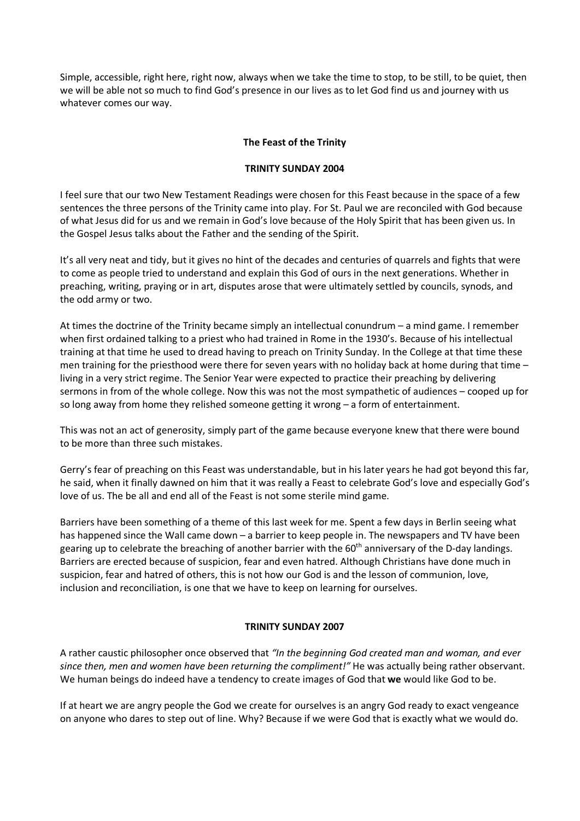Simple, accessible, right here, right now, always when we take the time to stop, to be still, to be quiet, then we will be able not so much to find God's presence in our lives as to let God find us and journey with us whatever comes our way.

# **The Feast of the Trinity**

# **TRINITY SUNDAY 2004**

I feel sure that our two New Testament Readings were chosen for this Feast because in the space of a few sentences the three persons of the Trinity came into play. For St. Paul we are reconciled with God because of what Jesus did for us and we remain in God's love because of the Holy Spirit that has been given us. In the Gospel Jesus talks about the Father and the sending of the Spirit.

It's all very neat and tidy, but it gives no hint of the decades and centuries of quarrels and fights that were to come as people tried to understand and explain this God of ours in the next generations. Whether in preaching, writing, praying or in art, disputes arose that were ultimately settled by councils, synods, and the odd army or two.

At times the doctrine of the Trinity became simply an intellectual conundrum – a mind game. I remember when first ordained talking to a priest who had trained in Rome in the 1930's. Because of his intellectual training at that time he used to dread having to preach on Trinity Sunday. In the College at that time these men training for the priesthood were there for seven years with no holiday back at home during that time – living in a very strict regime. The Senior Year were expected to practice their preaching by delivering sermons in from of the whole college. Now this was not the most sympathetic of audiences – cooped up for so long away from home they relished someone getting it wrong – a form of entertainment.

This was not an act of generosity, simply part of the game because everyone knew that there were bound to be more than three such mistakes.

Gerry's fear of preaching on this Feast was understandable, but in his later years he had got beyond this far, he said, when it finally dawned on him that it was really a Feast to celebrate God's love and especially God's love of us. The be all and end all of the Feast is not some sterile mind game.

Barriers have been something of a theme of this last week for me. Spent a few days in Berlin seeing what has happened since the Wall came down – a barrier to keep people in. The newspapers and TV have been gearing up to celebrate the breaching of another barrier with the 60<sup>th</sup> anniversary of the D-day landings. Barriers are erected because of suspicion, fear and even hatred. Although Christians have done much in suspicion, fear and hatred of others, this is not how our God is and the lesson of communion, love, inclusion and reconciliation, is one that we have to keep on learning for ourselves.

# **TRINITY SUNDAY 2007**

A rather caustic philosopher once observed that *"In the beginning God created man and woman, and ever since then, men and women have been returning the compliment!"* He was actually being rather observant. We human beings do indeed have a tendency to create images of God that **we** would like God to be.

If at heart we are angry people the God we create for ourselves is an angry God ready to exact vengeance on anyone who dares to step out of line. Why? Because if we were God that is exactly what we would do.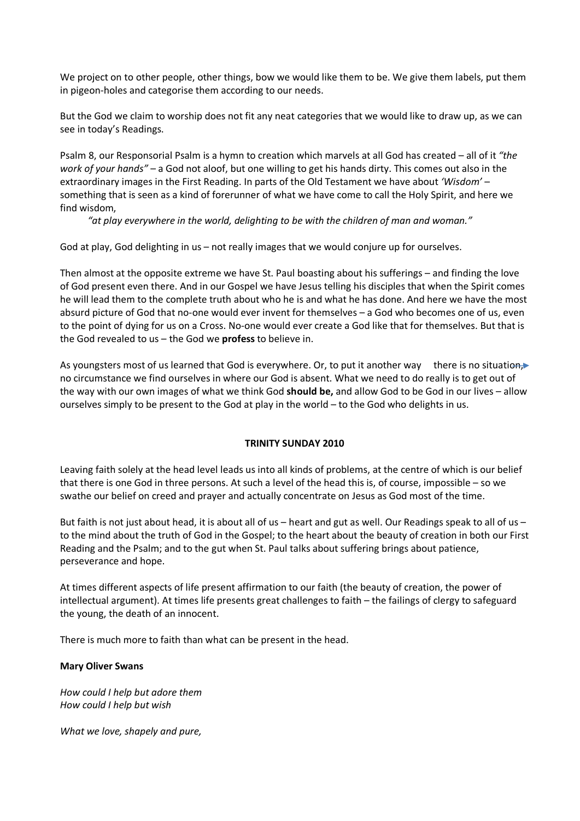We project on to other people, other things, bow we would like them to be. We give them labels, put them in pigeon-holes and categorise them according to our needs.

But the God we claim to worship does not fit any neat categories that we would like to draw up, as we can see in today's Readings.

Psalm 8, our Responsorial Psalm is a hymn to creation which marvels at all God has created – all of it *"the work of your hands"* – a God not aloof, but one willing to get his hands dirty. This comes out also in the extraordinary images in the First Reading. In parts of the Old Testament we have about *'Wisdom'* – something that is seen as a kind of forerunner of what we have come to call the Holy Spirit, and here we find wisdom,

*"at play everywhere in the world, delighting to be with the children of man and woman."*

God at play, God delighting in us – not really images that we would conjure up for ourselves.

Then almost at the opposite extreme we have St. Paul boasting about his sufferings – and finding the love of God present even there. And in our Gospel we have Jesus telling his disciples that when the Spirit comes he will lead them to the complete truth about who he is and what he has done. And here we have the most absurd picture of God that no-one would ever invent for themselves – a God who becomes one of us, even to the point of dying for us on a Cross. No-one would ever create a God like that for themselves. But that is the God revealed to us – the God we **profess** to believe in.

As youngsters most of us learned that God is everywhere. Or, to put it another way there is no situation, no circumstance we find ourselves in where our God is absent. What we need to do really is to get out of the way with our own images of what we think God **should be,** and allow God to be God in our lives – allow ourselves simply to be present to the God at play in the world – to the God who delights in us.

# **TRINITY SUNDAY 2010**

Leaving faith solely at the head level leads us into all kinds of problems, at the centre of which is our belief that there is one God in three persons. At such a level of the head this is, of course, impossible – so we swathe our belief on creed and prayer and actually concentrate on Jesus as God most of the time.

But faith is not just about head, it is about all of us – heart and gut as well. Our Readings speak to all of us – to the mind about the truth of God in the Gospel; to the heart about the beauty of creation in both our First Reading and the Psalm; and to the gut when St. Paul talks about suffering brings about patience, perseverance and hope.

At times different aspects of life present affirmation to our faith (the beauty of creation, the power of intellectual argument). At times life presents great challenges to faith – the failings of clergy to safeguard the young, the death of an innocent.

There is much more to faith than what can be present in the head.

# **Mary Oliver Swans**

*How could I help but adore them How could I help but wish*

*What we love, shapely and pure,*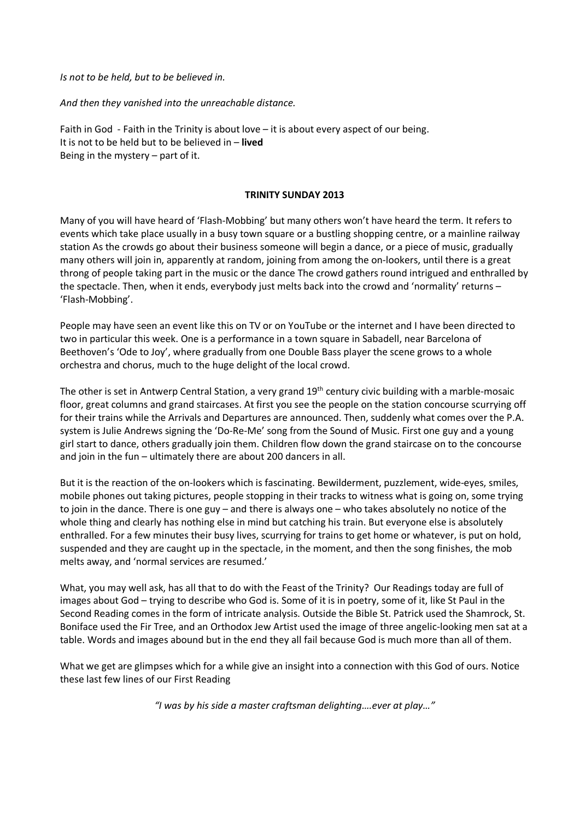*Is not to be held, but to be believed in.*

*And then they vanished into the unreachable distance.*

Faith in God - Faith in the Trinity is about love – it is about every aspect of our being. It is not to be held but to be believed in – **lived** Being in the mystery – part of it.

#### **TRINITY SUNDAY 2013**

Many of you will have heard of 'Flash-Mobbing' but many others won't have heard the term. It refers to events which take place usually in a busy town square or a bustling shopping centre, or a mainline railway station As the crowds go about their business someone will begin a dance, or a piece of music, gradually many others will join in, apparently at random, joining from among the on-lookers, until there is a great throng of people taking part in the music or the dance The crowd gathers round intrigued and enthralled by the spectacle. Then, when it ends, everybody just melts back into the crowd and 'normality' returns – 'Flash-Mobbing'.

People may have seen an event like this on TV or on YouTube or the internet and I have been directed to two in particular this week. One is a performance in a town square in Sabadell, near Barcelona of Beethoven's 'Ode to Joy', where gradually from one Double Bass player the scene grows to a whole orchestra and chorus, much to the huge delight of the local crowd.

The other is set in Antwerp Central Station, a very grand 19<sup>th</sup> century civic building with a marble-mosaic floor, great columns and grand staircases. At first you see the people on the station concourse scurrying off for their trains while the Arrivals and Departures are announced. Then, suddenly what comes over the P.A. system is Julie Andrews signing the 'Do-Re-Me' song from the Sound of Music. First one guy and a young girl start to dance, others gradually join them. Children flow down the grand staircase on to the concourse and join in the fun – ultimately there are about 200 dancers in all.

But it is the reaction of the on-lookers which is fascinating. Bewilderment, puzzlement, wide-eyes, smiles, mobile phones out taking pictures, people stopping in their tracks to witness what is going on, some trying to join in the dance. There is one guy – and there is always one – who takes absolutely no notice of the whole thing and clearly has nothing else in mind but catching his train. But everyone else is absolutely enthralled. For a few minutes their busy lives, scurrying for trains to get home or whatever, is put on hold, suspended and they are caught up in the spectacle, in the moment, and then the song finishes, the mob melts away, and 'normal services are resumed.'

What, you may well ask, has all that to do with the Feast of the Trinity? Our Readings today are full of images about God – trying to describe who God is. Some of it is in poetry, some of it, like St Paul in the Second Reading comes in the form of intricate analysis. Outside the Bible St. Patrick used the Shamrock, St. Boniface used the Fir Tree, and an Orthodox Jew Artist used the image of three angelic-looking men sat at a table. Words and images abound but in the end they all fail because God is much more than all of them.

What we get are glimpses which for a while give an insight into a connection with this God of ours. Notice these last few lines of our First Reading

*"I was by his side a master craftsman delighting….ever at play…"*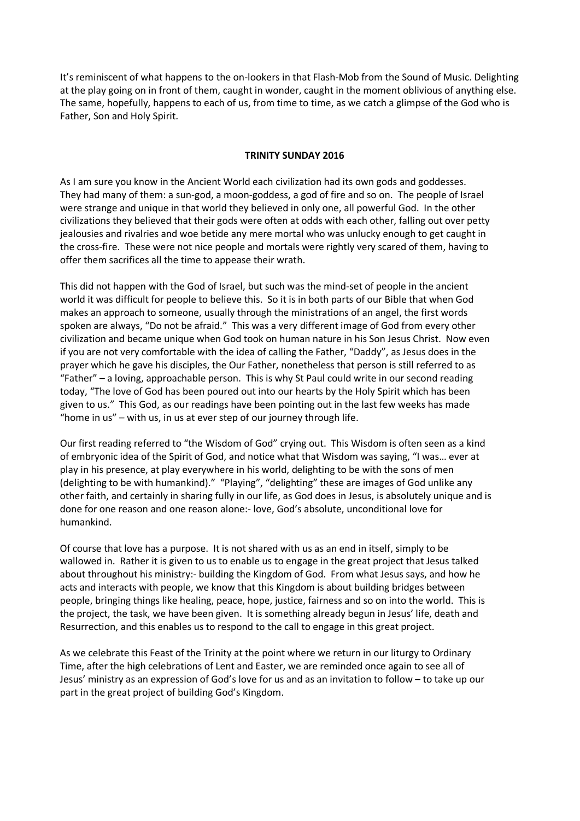It's reminiscent of what happens to the on-lookers in that Flash-Mob from the Sound of Music. Delighting at the play going on in front of them, caught in wonder, caught in the moment oblivious of anything else. The same, hopefully, happens to each of us, from time to time, as we catch a glimpse of the God who is Father, Son and Holy Spirit.

#### **TRINITY SUNDAY 2016**

As I am sure you know in the Ancient World each civilization had its own gods and goddesses. They had many of them: a sun-god, a moon-goddess, a god of fire and so on. The people of Israel were strange and unique in that world they believed in only one, all powerful God. In the other civilizations they believed that their gods were often at odds with each other, falling out over petty jealousies and rivalries and woe betide any mere mortal who was unlucky enough to get caught in the cross-fire. These were not nice people and mortals were rightly very scared of them, having to offer them sacrifices all the time to appease their wrath.

This did not happen with the God of Israel, but such was the mind-set of people in the ancient world it was difficult for people to believe this. So it is in both parts of our Bible that when God makes an approach to someone, usually through the ministrations of an angel, the first words spoken are always, "Do not be afraid." This was a very different image of God from every other civilization and became unique when God took on human nature in his Son Jesus Christ. Now even if you are not very comfortable with the idea of calling the Father, "Daddy", as Jesus does in the prayer which he gave his disciples, the Our Father, nonetheless that person is still referred to as "Father" – a loving, approachable person. This is why St Paul could write in our second reading today, "The love of God has been poured out into our hearts by the Holy Spirit which has been given to us." This God, as our readings have been pointing out in the last few weeks has made "home in us" – with us, in us at ever step of our journey through life.

Our first reading referred to "the Wisdom of God" crying out. This Wisdom is often seen as a kind of embryonic idea of the Spirit of God, and notice what that Wisdom was saying, "I was… ever at play in his presence, at play everywhere in his world, delighting to be with the sons of men (delighting to be with humankind)." "Playing", "delighting" these are images of God unlike any other faith, and certainly in sharing fully in our life, as God does in Jesus, is absolutely unique and is done for one reason and one reason alone:- love, God's absolute, unconditional love for humankind.

Of course that love has a purpose. It is not shared with us as an end in itself, simply to be wallowed in. Rather it is given to us to enable us to engage in the great project that Jesus talked about throughout his ministry:- building the Kingdom of God. From what Jesus says, and how he acts and interacts with people, we know that this Kingdom is about building bridges between people, bringing things like healing, peace, hope, justice, fairness and so on into the world. This is the project, the task, we have been given. It is something already begun in Jesus' life, death and Resurrection, and this enables us to respond to the call to engage in this great project.

As we celebrate this Feast of the Trinity at the point where we return in our liturgy to Ordinary Time, after the high celebrations of Lent and Easter, we are reminded once again to see all of Jesus' ministry as an expression of God's love for us and as an invitation to follow – to take up our part in the great project of building God's Kingdom.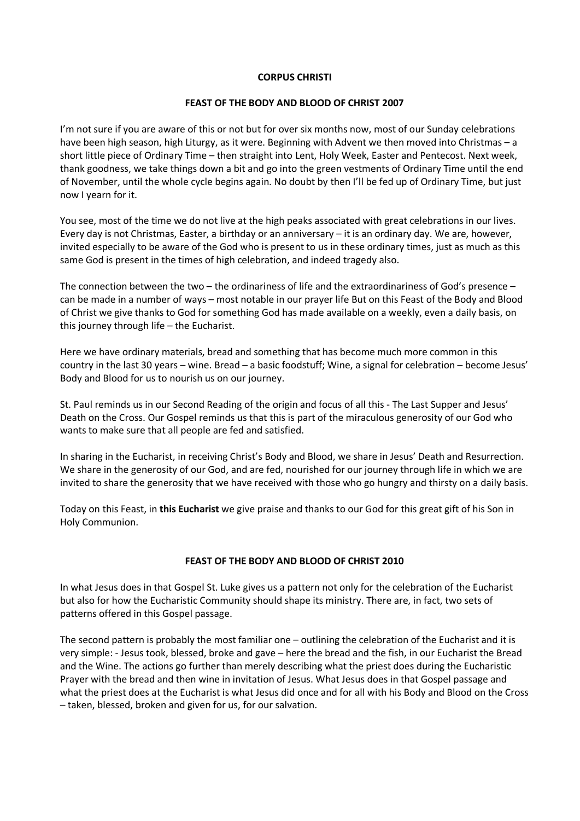## **CORPUS CHRISTI**

# **FEAST OF THE BODY AND BLOOD OF CHRIST 2007**

I'm not sure if you are aware of this or not but for over six months now, most of our Sunday celebrations have been high season, high Liturgy, as it were. Beginning with Advent we then moved into Christmas - a short little piece of Ordinary Time – then straight into Lent, Holy Week, Easter and Pentecost. Next week, thank goodness, we take things down a bit and go into the green vestments of Ordinary Time until the end of November, until the whole cycle begins again. No doubt by then I'll be fed up of Ordinary Time, but just now I yearn for it.

You see, most of the time we do not live at the high peaks associated with great celebrations in our lives. Every day is not Christmas, Easter, a birthday or an anniversary – it is an ordinary day. We are, however, invited especially to be aware of the God who is present to us in these ordinary times, just as much as this same God is present in the times of high celebration, and indeed tragedy also.

The connection between the two – the ordinariness of life and the extraordinariness of God's presence – can be made in a number of ways – most notable in our prayer life But on this Feast of the Body and Blood of Christ we give thanks to God for something God has made available on a weekly, even a daily basis, on this journey through life – the Eucharist.

Here we have ordinary materials, bread and something that has become much more common in this country in the last 30 years – wine. Bread – a basic foodstuff; Wine, a signal for celebration – become Jesus' Body and Blood for us to nourish us on our journey.

St. Paul reminds us in our Second Reading of the origin and focus of all this - The Last Supper and Jesus' Death on the Cross. Our Gospel reminds us that this is part of the miraculous generosity of our God who wants to make sure that all people are fed and satisfied.

In sharing in the Eucharist, in receiving Christ's Body and Blood, we share in Jesus' Death and Resurrection. We share in the generosity of our God, and are fed, nourished for our journey through life in which we are invited to share the generosity that we have received with those who go hungry and thirsty on a daily basis.

Today on this Feast, in **this Eucharist** we give praise and thanks to our God for this great gift of his Son in Holy Communion.

# **FEAST OF THE BODY AND BLOOD OF CHRIST 2010**

In what Jesus does in that Gospel St. Luke gives us a pattern not only for the celebration of the Eucharist but also for how the Eucharistic Community should shape its ministry. There are, in fact, two sets of patterns offered in this Gospel passage.

The second pattern is probably the most familiar one – outlining the celebration of the Eucharist and it is very simple: - Jesus took, blessed, broke and gave – here the bread and the fish, in our Eucharist the Bread and the Wine. The actions go further than merely describing what the priest does during the Eucharistic Prayer with the bread and then wine in invitation of Jesus. What Jesus does in that Gospel passage and what the priest does at the Eucharist is what Jesus did once and for all with his Body and Blood on the Cross – taken, blessed, broken and given for us, for our salvation.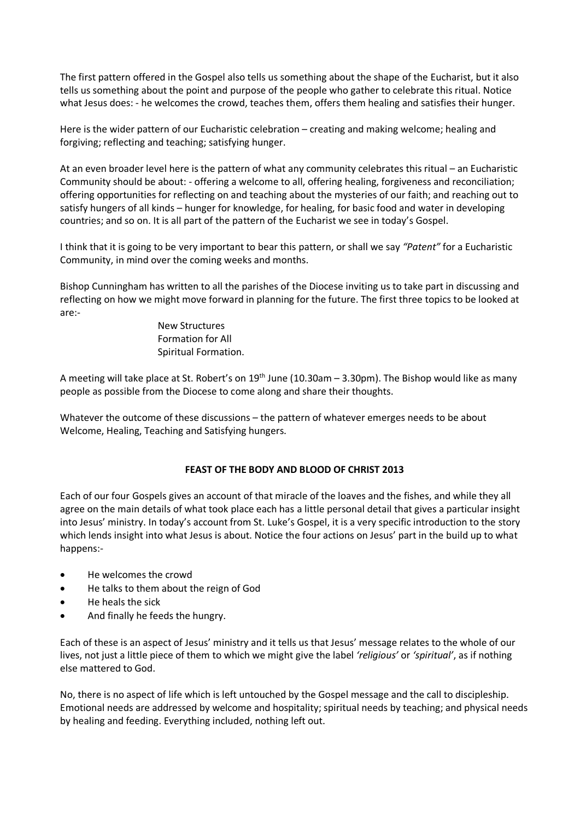The first pattern offered in the Gospel also tells us something about the shape of the Eucharist, but it also tells us something about the point and purpose of the people who gather to celebrate this ritual. Notice what Jesus does: - he welcomes the crowd, teaches them, offers them healing and satisfies their hunger.

Here is the wider pattern of our Eucharistic celebration – creating and making welcome; healing and forgiving; reflecting and teaching; satisfying hunger.

At an even broader level here is the pattern of what any community celebrates this ritual – an Eucharistic Community should be about: - offering a welcome to all, offering healing, forgiveness and reconciliation; offering opportunities for reflecting on and teaching about the mysteries of our faith; and reaching out to satisfy hungers of all kinds – hunger for knowledge, for healing, for basic food and water in developing countries; and so on. It is all part of the pattern of the Eucharist we see in today's Gospel.

I think that it is going to be very important to bear this pattern, or shall we say *"Patent"* for a Eucharistic Community, in mind over the coming weeks and months.

Bishop Cunningham has written to all the parishes of the Diocese inviting us to take part in discussing and reflecting on how we might move forward in planning for the future. The first three topics to be looked at are:-

> New Structures Formation for All Spiritual Formation.

A meeting will take place at St. Robert's on  $19<sup>th</sup>$  June (10.30am – 3.30pm). The Bishop would like as many people as possible from the Diocese to come along and share their thoughts.

Whatever the outcome of these discussions – the pattern of whatever emerges needs to be about Welcome, Healing, Teaching and Satisfying hungers.

# **FEAST OF THE BODY AND BLOOD OF CHRIST 2013**

Each of our four Gospels gives an account of that miracle of the loaves and the fishes, and while they all agree on the main details of what took place each has a little personal detail that gives a particular insight into Jesus' ministry. In today's account from St. Luke's Gospel, it is a very specific introduction to the story which lends insight into what Jesus is about. Notice the four actions on Jesus' part in the build up to what happens:-

- He welcomes the crowd
- He talks to them about the reign of God
- He heals the sick
- And finally he feeds the hungry.

Each of these is an aspect of Jesus' ministry and it tells us that Jesus' message relates to the whole of our lives, not just a little piece of them to which we might give the label *'religious'* or *'spiritual'*, as if nothing else mattered to God.

No, there is no aspect of life which is left untouched by the Gospel message and the call to discipleship. Emotional needs are addressed by welcome and hospitality; spiritual needs by teaching; and physical needs by healing and feeding. Everything included, nothing left out.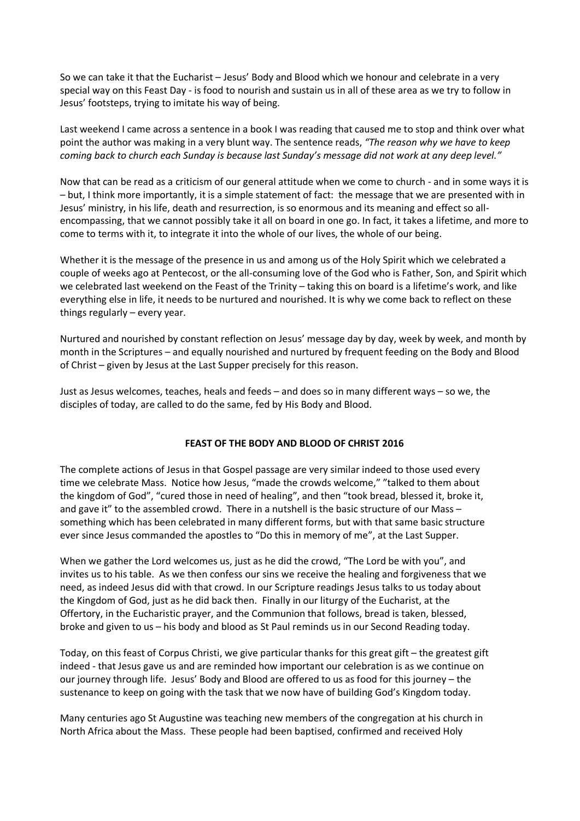So we can take it that the Eucharist – Jesus' Body and Blood which we honour and celebrate in a very special way on this Feast Day - is food to nourish and sustain us in all of these area as we try to follow in Jesus' footsteps, trying to imitate his way of being.

Last weekend I came across a sentence in a book I was reading that caused me to stop and think over what point the author was making in a very blunt way. The sentence reads, *"The reason why we have to keep coming back to church each Sunday is because last Sunday's message did not work at any deep level."*

Now that can be read as a criticism of our general attitude when we come to church - and in some ways it is – but, I think more importantly, it is a simple statement of fact: the message that we are presented with in Jesus' ministry, in his life, death and resurrection, is so enormous and its meaning and effect so allencompassing, that we cannot possibly take it all on board in one go. In fact, it takes a lifetime, and more to come to terms with it, to integrate it into the whole of our lives, the whole of our being.

Whether it is the message of the presence in us and among us of the Holy Spirit which we celebrated a couple of weeks ago at Pentecost, or the all-consuming love of the God who is Father, Son, and Spirit which we celebrated last weekend on the Feast of the Trinity – taking this on board is a lifetime's work, and like everything else in life, it needs to be nurtured and nourished. It is why we come back to reflect on these things regularly – every year.

Nurtured and nourished by constant reflection on Jesus' message day by day, week by week, and month by month in the Scriptures – and equally nourished and nurtured by frequent feeding on the Body and Blood of Christ – given by Jesus at the Last Supper precisely for this reason.

Just as Jesus welcomes, teaches, heals and feeds – and does so in many different ways – so we, the disciples of today, are called to do the same, fed by His Body and Blood.

# **FEAST OF THE BODY AND BLOOD OF CHRIST 2016**

The complete actions of Jesus in that Gospel passage are very similar indeed to those used every time we celebrate Mass. Notice how Jesus, "made the crowds welcome," "talked to them about the kingdom of God", "cured those in need of healing", and then "took bread, blessed it, broke it, and gave it" to the assembled crowd. There in a nutshell is the basic structure of our Mass – something which has been celebrated in many different forms, but with that same basic structure ever since Jesus commanded the apostles to "Do this in memory of me", at the Last Supper.

When we gather the Lord welcomes us, just as he did the crowd, "The Lord be with you", and invites us to his table. As we then confess our sins we receive the healing and forgiveness that we need, as indeed Jesus did with that crowd. In our Scripture readings Jesus talks to us today about the Kingdom of God, just as he did back then. Finally in our liturgy of the Eucharist, at the Offertory, in the Eucharistic prayer, and the Communion that follows, bread is taken, blessed, broke and given to us – his body and blood as St Paul reminds us in our Second Reading today.

Today, on this feast of Corpus Christi, we give particular thanks for this great gift – the greatest gift indeed - that Jesus gave us and are reminded how important our celebration is as we continue on our journey through life. Jesus' Body and Blood are offered to us as food for this journey – the sustenance to keep on going with the task that we now have of building God's Kingdom today.

Many centuries ago St Augustine was teaching new members of the congregation at his church in North Africa about the Mass. These people had been baptised, confirmed and received Holy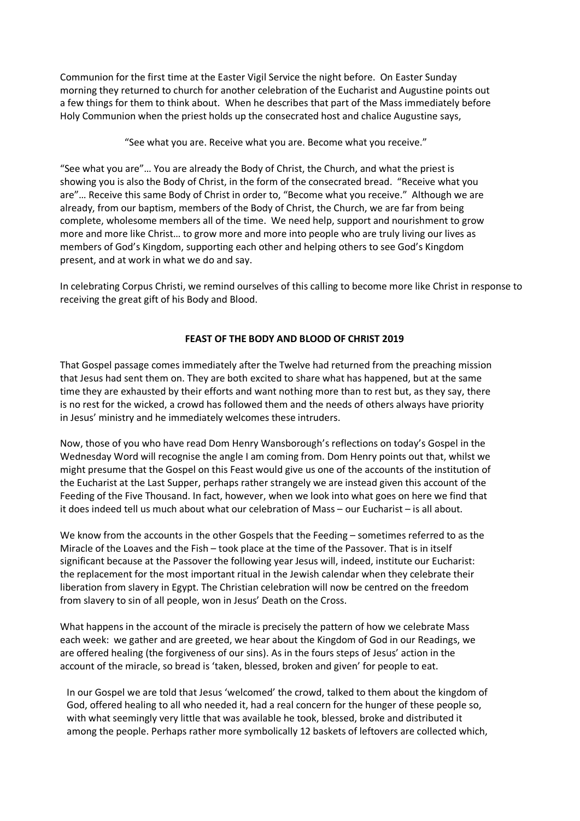Communion for the first time at the Easter Vigil Service the night before. On Easter Sunday morning they returned to church for another celebration of the Eucharist and Augustine points out a few things for them to think about. When he describes that part of the Mass immediately before Holy Communion when the priest holds up the consecrated host and chalice Augustine says,

"See what you are. Receive what you are. Become what you receive."

"See what you are"… You are already the Body of Christ, the Church, and what the priest is showing you is also the Body of Christ, in the form of the consecrated bread. "Receive what you are"… Receive this same Body of Christ in order to, "Become what you receive." Although we are already, from our baptism, members of the Body of Christ, the Church, we are far from being complete, wholesome members all of the time. We need help, support and nourishment to grow more and more like Christ… to grow more and more into people who are truly living our lives as members of God's Kingdom, supporting each other and helping others to see God's Kingdom present, and at work in what we do and say.

In celebrating Corpus Christi, we remind ourselves of this calling to become more like Christ in response to receiving the great gift of his Body and Blood.

# **FEAST OF THE BODY AND BLOOD OF CHRIST 2019**

That Gospel passage comes immediately after the Twelve had returned from the preaching mission that Jesus had sent them on. They are both excited to share what has happened, but at the same time they are exhausted by their efforts and want nothing more than to rest but, as they say, there is no rest for the wicked, a crowd has followed them and the needs of others always have priority in Jesus' ministry and he immediately welcomes these intruders.

Now, those of you who have read Dom Henry Wansborough's reflections on today's Gospel in the Wednesday Word will recognise the angle I am coming from. Dom Henry points out that, whilst we might presume that the Gospel on this Feast would give us one of the accounts of the institution of the Eucharist at the Last Supper, perhaps rather strangely we are instead given this account of the Feeding of the Five Thousand. In fact, however, when we look into what goes on here we find that it does indeed tell us much about what our celebration of Mass – our Eucharist – is all about.

We know from the accounts in the other Gospels that the Feeding – sometimes referred to as the Miracle of the Loaves and the Fish – took place at the time of the Passover. That is in itself significant because at the Passover the following year Jesus will, indeed, institute our Eucharist: the replacement for the most important ritual in the Jewish calendar when they celebrate their liberation from slavery in Egypt. The Christian celebration will now be centred on the freedom from slavery to sin of all people, won in Jesus' Death on the Cross.

What happens in the account of the miracle is precisely the pattern of how we celebrate Mass each week: we gather and are greeted, we hear about the Kingdom of God in our Readings, we are offered healing (the forgiveness of our sins). As in the fours steps of Jesus' action in the account of the miracle, so bread is 'taken, blessed, broken and given' for people to eat.

In our Gospel we are told that Jesus 'welcomed' the crowd, talked to them about the kingdom of God, offered healing to all who needed it, had a real concern for the hunger of these people so, with what seemingly very little that was available he took, blessed, broke and distributed it among the people. Perhaps rather more symbolically 12 baskets of leftovers are collected which,